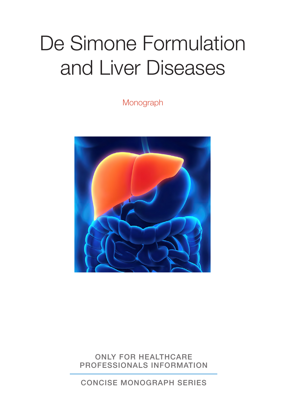# De Simone Formulation and Liver Diseases

Monograph



ONLY FOR HEALTHCARE PROFESSIONALS INFORMATION

CONCISE MONOGRAPH SERIES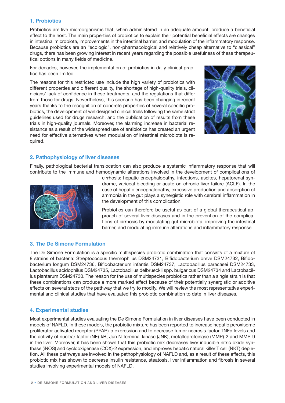### **1. Probiotics**

Probiotics are live microorganisms that, when administered in an adequate amount, produce a beneficial effect to the host. The main properties of probiotics to explain their potential beneficial effects are changes in intestinal microbiota, improvements in the intestinal barrier, and modulation of the inflammatory response. Because probiotics are an "ecologic", non-pharmacological and relatively cheap alternative to "classical" drugs, there has been growing interest in recent years regarding the possible usefulness of these therapeutical options in many fields of medicine.

For decades, however, the implementation of probiotics in daily clinical practice has been limited.

The reasons for this restricted use include the high variety of probiotics with different properties and different quality, the shortage of high-quality trials, clinicians' lack of confidence in these treatments, and the regulations that differ from those for drugs. Nevertheless, this scenario has been changing in recent years thanks to the recognition of concrete properties of several specific probiotics, the development of welldesigned clinical trials following the same strict guidelines used for drugs research, and the publication of results from these trials in high-quality journals. Moreover, the alarming increase in bacterial resistance as a result of the widespread use of antibiotics has created an urgent need for effective alternatives when modulation of intestinal microbiota is required.



# **2. Pathophysiology of liver diseases**

Finally, pathological bacterial translocation can also produce a systemic inflammatory response that will contribute to the immune and hemodynamic alterations involved in the development of complications of



cirrhosis: hepatic encephalopathy, infections, ascites, hepatorenal syndrome, variceal bleeding or acute-on-chronic liver failure (ACLF). In the case of hepatic encephalopathy, excessive production and absorption of ammonia in the gut plays a synergistic role with cerebral inflammation in the development of this complication.

Probiotics can therefore be useful as part of a global therapeutical approach of several liver diseases and in the prevention of the complications of cirrhosis by modulating gut microbiota, improving the intestinal barrier, and modulating immune alterations and inflammatory response.

# **3. The De Simone Formulation**

The De Simone Formulation is a specific multispecies probiotic combination that consists of a mixture of 8 strains of bacteria: Streptococcus thermophilus DSM24731, Bifidobacterium breve DSM24732, Bifidobacterium longum DSM24736, Bifidobacterium infantis DSM24737, Lactobacillus paracasei DSM24733, Lactobacillus acidophilus DSM24735, Lactobacillus delbrueckii spp. bulgaricus DSM24734 and Lactobacillus plantarum DSM24730. The reason for the use of multispecies probiotics rather than a single strain is that these combinations can produce a more marked effect because of their potentially synergistic or additive effects on several steps of the pathway that we try to modify. We will review the most representative experimental and clinical studies that have evaluated this probiotic combination to date in liver diseases.

# **4. Experimental studies**

Most experimental studies evaluating the De Simone Formulation in liver diseases have been conducted in models of NAFLD. In these models, the probiotic mixture has been reported to increase hepatic peroxisome proliferator-activated receptor (PPAR)-α expression and to decrease tumor necrosis factor TNFα levels and the activity of nuclear factor (NF)-kB, Jun N-terminal kinase (JNK), metalloproteinase (MMP)-2 and MMP-9 in the liver. Moreover, it has been shown that this probiotic mix decreases liver inducible nitric oxide synthase (iNOS) and cyclooxigenase (COX)-2 expression, and improves hepatic natural killer T cell (NKT) depletion. All these pathways are involved in the pathophysiology of NAFLD and, as a result of these effects, this probiotic mix has shown to decrease insulin resistance, steatosis, liver inflammation and fibrosis in several studies involving experimental models of NAFLD.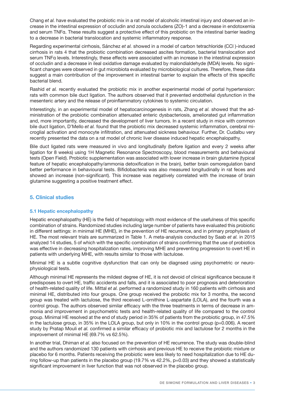Chang *et al.* have evaluated the probiotic mix in a rat model of alcoholic intestinal injury and observed an increase in the intestinal expression of occludin and zonula occludens (ZO)-1 and a decrease in endotoxemia and serum TNFα. These results suggest a protective effect of this probiotic on the intestinal barrier leading to a decrease in bacterial translocation and systemic inflammatory response.

Regarding experimental cirrhosis, Sánchez *et al.* showed in a model of carbon tetrachloride (CCl )-induced cirrhosis in rats 4 that the probiotic combination decreased ascites formation, bacterial translocation and serum TNFα levels. Interestingly, these effects were associated with an increase in the intestinal expression of occludin and a decrease in ileal oxidative damage evaluated by malondialdehyde (MDA) levels. No significant changes were observed in gut microbiota evaluated by microbiological cultures. Therefore, these data suggest a main contribution of the improvement in intestinal barrier to explain the effects of this specific bacterial blend.

Rashid *et al.* recently evaluated the probiotic mix in another experimental model of portal hypertension: rats with common bile duct ligation. The authors observed that it prevented endothelial dysfunction in the mesenteric artery and the release of proinflammatory cytokines to systemic circulation.

Interestingly, in an experimental model of hepatocarcinogenesis in rats, Zhang *et al.* showed that the administration of the probiotic combination attenuated enteric dysbacteriosis, ameliorated gut inflammation and, more importantly, decreased the development of liver tumors. In a recent study in mice with common bile duct ligation, D'Mello *et al.* found that the probiotic mix decreased systemic inflammation, cerebral microglial activation and monocyte infiltration, and attenuated sickness behaviour. Further, Dr. Cudalbu very recently presented the data on a rat model of chronic liver disease induced hepatic encephalopathy.

Bile duct ligated rats were measured in vivo and longitudinally (before ligation and every 2 weeks after ligation for 8 weeks) using 1H Magnetic Resonance Spectroscopy, blood measurements and behavioural tests (Open Field). Probiotic supplementation was associated with lower increase in brain glutamine (typical feature of hepatic encephalopathy/ammonia detoxification in the brain), better brain osmoregulation band better performance in behavioural tests. Bifidobacteria was also measured longitudinally in rat feces and showed an increase (non-significant). This increase was negatively correlated with the increase of brain glutamine suggesting a positive treatment effect.

# **5. Clinical studies**

#### **5.1 Hepatic encephalopathy**

Hepatic encephalopathy (HE) is the field of hepatology with most evidence of the usefulness of this specific combination of strains. Randomized studies including large number of patients have evaluated this probiotic in different settings: in minimal HE (MHE), in the prevention of HE recurrence, and in primary prophylaxis of HE. The most relevant trials are summarized in Table 1. A meta-analysis conducted by Saab *et al.* in 2015 analyzed 14 studies, 5 of which with the specific combination of strains confirming that the use of probiotics was effective in decreasing hospitalization rates, improving MHE and preventing progression to overt HE in patients with underlying MHE, with results similar to those with lactulose.

Minimal HE is a subtle cognitive dysfunction that can only be diagnsed using psychometric or neurophysiological tests.

Although minimal HE represents the mildest degree of HE, it is not devoid of clinical significance because it predisposes to overt HE, traffic accidents and falls, and it is associated to poor prognosis and deterioration of health-related quality of life. Mittal *et al.* performed a randomized study in 160 patients with cirrhosis and minimal HE, distributed into four groups. One group received the probiotic mix for 3 months, the second group was treated with lactulose, the third received L-ornithine L-aspartate (LOLA), and the fourth was a control group. The authors observed similar efficacy with the three treatments in terms of decrease in ammonia and improvement in psychometric tests and health-related quality of life compared to the control group. Minimal HE resolved at the end of study period in 35% of patients from the probiotic group, in 47.5% in the lactulose group, in 35% in the LOLA group, but only in 10% in the control group (p=0.006). A recent study by Pratap Mouli *et al.* confirmed a similar efficacy of probiotic mix and lactulose for 2 months in the improvement of minimal HE (69.7% vs 62.5%).

In another trial, Dhiman *et al.* also focused on the prevention of HE recurrence. The study was double-blind and the authors randomized 130 patients with cirrhosis and previous HE to receive the probiotic mixture or placebo for 6 months. Patients receiving the probiotic were less likely to need hospitalization due to HE during follow-up than patients in the placebo group (19.7% vs 42.2%, p=0.03) and they showed a statistically significant improvement in liver function that was not observed in the placebo group.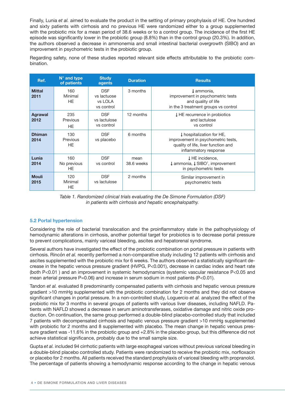Finally, Lunia *et al.* aimed to evaluate the product in the setting of primary prophylaxis of HE. One hundred and sixty patients with cirrhosis and no previous HE were randomized either to a group supplemented with the probiotic mix for a mean period of 38.6 weeks or to a control group. The incidence of the first HE episode was significantly lower in the probiotic group (8.8%) than in the control group (20.3%). In addition, the authors observed a decrease in ammonemia and small intestinal bacterial overgrowth (SIBO) and an improvement in psychometric tests in the probiotic group.

Regarding safety, none of these studies reported relevant side effects attributable to the probiotic combination.

| Ref.                   | $N^{\circ}$ and type<br>of patients | <b>Study</b><br>agents                             | <b>Duration</b>    | <b>Results</b>                                                                                                                  |
|------------------------|-------------------------------------|----------------------------------------------------|--------------------|---------------------------------------------------------------------------------------------------------------------------------|
| <b>Mittal</b><br>2011  | 160<br>Minimal<br>HE.               | <b>DSF</b><br>vs lactuose<br>vs LOLA<br>vs control | 3 months           | 1 ammonia,<br>improvement in psychometric tests<br>and quality of life<br>in the 3 treatment groups vs control                  |
| <b>Agrawal</b><br>2012 | 235<br>Previous<br>HE.              | <b>DSF</b><br>vs lactulose<br>vs control           | 12 months          | ↓HE recurrence in probiotics<br>and lactulose<br>vs control                                                                     |
| <b>Dhiman</b><br>2014  | 130<br>Previous<br>HE.              | <b>DSF</b><br>vs placebo                           | 6 months           | ↓ hospitalization for HE,<br>improvement in psychometric tests,<br>quality of life, liver function and<br>inflammatory response |
| Lunia<br>2014          | 160<br>No previous<br>HE.           | <b>DSF</b><br>vs control                           | mean<br>38.6 weeks | <b>↓HE</b> incidence,<br>$\downarrow$ ammonia, $\downarrow$ SIBO <sup>1</sup> , improvement<br>in psychometric tests            |
| <b>Mouli</b><br>2015   | 120<br>Minimal<br>HE.               | <b>DSF</b><br>vs lactulose                         | 2 months           | Similar improvement in<br>psychometric tests                                                                                    |



#### **5.2 Portal hypertension**

Considering the role of bacterial translocation and the proinflammatory state in the pathophysiology of hemodynamic alterations in cirrhosis, another potential target for probiotics is to decrease portal pressure to prevent complications, mainly variceal bleeding, ascites and hepatorenal syndrome.

Several authors have investigated the effect of the probiotic combination on portal pressure in patients with cirrhosis. Rincón *et al.* recently performed a non-comparative study including 12 patients with cirrhosis and ascites supplemented with the probiotic mix for 6 weeks. The authors observed a statistically significant decrease in the hepatic venous pressure gradient (HVPG, P<0.001), decrease in cardiac index and heart rate (both P<0.01 ) and an improvement in systemic hemodynamics (systemic vascular resistance P<0.05 and mean arterial pressure P=0.06) and increase in serum sodium in most patients (P<0.01).

Tandon *et al.* evaluated 8 predominantly compensated patients with cirrhosis and hepatic venous pressure gradient >10 mmHg supplemented with the probiotic combination for 2 months and they did not observe significant changes in portal pressure. In a non-controlled study, Loguercio *et al.* analyzed the effect of the probiotic mix for 3 months in several groups of patients with various liver diseases, including NAFLD. Patients with NAFLD showed a decrease in serum aminotransferases, oxidative damage and nitric oxide production. On continuation, the same group performed a double-blind placebo-controlled study that included 7 patients with decompensated cirrhosis and hepatic venous pressure gradient >10 mmHg supplemented with probiotic for 2 months and 8 supplemented with placebo. The mean change in hepatic venous pressure gradient was -11.6% in the probiotic group and +2.8% in the placebo group, but this difference did not achieve statistical significance, probably due to the small sample size.

Gupta *et al.* included 94 cirrhotic patients with large esophageal varices without previous variceal bleeding in a double-blind placebo controlled study. Patients were randomized to receive the probiotic mix, norfloxacin or placebo for 2 months. All patients received the standard prophylaxis of variceal bleeding with propranolol. The percentage of patients showing a hemodynamic response according to the change in hepatic venous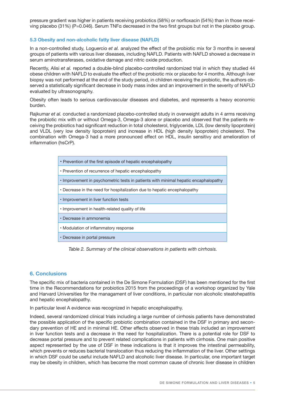pressure gradient was higher in patients receiving probiotics (58%) or norfloxacin (54%) than in those receiving placebo (31%) (P=0.046). Serum TNFα decreased in the two first groups but not in the placebo group.

#### **5.3 Obesity and non-alcoholic fatty liver disease (NAFLD)**

In a non-controlled study, Loguercio *et al.* analyzed the effect of the probiotic mix for 3 months in several groups of patients with various liver diseases, including NAFLD. Patients with NAFLD showed a decrease in serum aminotransferases, oxidative damage and nitric oxide production.

Recently, Alisi *et al.* reported a double-blind placebo-controlled randomized trial in which they studied 44 obese children with NAFLD to evaluate the effect of the probiotic mix or placebo for 4 months. Although liver biopsy was not performed at the end of the study period, in children receiving the probiotic, the authors observed a statistically significant decrease in body mass index and an improvement in the severity of NAFLD evaluated by ultrasonography.

Obesity often leads to serious cardiovascular diseases and diabetes, and represents a heavy economic burden.

Rajkumar *et al.* conducted a randomized placebo-controlled study in overweight adults in 4 arms receiving the probiotic mix with or without Omega-3, Omega-3 alone or placebo and observed that the patients receiving the probiotics had significant reduction in total cholesterol, triglyceride, LDL (low density lipoprotein) and VLDL (very low density lipoprotein) and increase in HDL (high density lipoprotein) cholesterol. The combination with Omega-3 had a more pronounced effect on HDL, insulin sensitivy and amelioration of inflammation (hsCrP).

| • Prevention of the first episode of hepatic encephalopathy                         |  |  |  |  |
|-------------------------------------------------------------------------------------|--|--|--|--|
| • Prevention of recurrence of hepatic encephalopathy                                |  |  |  |  |
| • Improvement in psychometric tests in patients with minimal hepatic encaphalopathy |  |  |  |  |
| • Decrease in the need for hospitalization due to hepatic encephalopathy            |  |  |  |  |
| • Improvement in liver function tests                                               |  |  |  |  |
| . Improvement in health-related quality of life                                     |  |  |  |  |
| • Decrease in ammonemia                                                             |  |  |  |  |
| • Modulation of inflammatory response                                               |  |  |  |  |
| • Decrease in portal pressure                                                       |  |  |  |  |

*Table 2. Summary of the clinical observations in patients with cirrhosis.*

#### **6. Conclusions**

The specific mix of bacteria contained in the De Simone Formulation (DSF) has been mentioned for the first time in the Recommendations for probiotics 2015 from the proceedings of a workshop organized by Yale and Harvard Universities for the managament of liver conditions, in particular non alcoholic steatohepatitis and hepatic encephalopathy.

In particular level A evidence was recognized in hepatic encephalopathy.

Indeed, several randomized clinical trials including a large number of cirrhosis patients have demonstrated the possible application of the specific probiotic combination contained in the DSF in primary and secondary prevention of HE and in minimal HE. Other effects observed in these trials included an improvement in liver function tests and a decrease in the need for hospitalization. There is a potential role for DSF to decrease portal pressure and to prevent related complications in patients with cirrhosis. One main positive aspect represented by the use of DSF in these indications is that it improves the intestinal permeability, which prevents or reduces bacterial translocation thus reducing the inflammation of the liver. Other settings in which DSF could be useful include NAFLD and alcoholic liver disease. In particular, one important target may be obesity in children, which has become the most common cause of chronic liver disease in children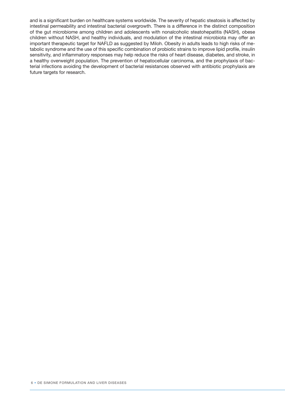and is a significant burden on healthcare systems worldwide. The severity of hepatic steatosis is affected by intestinal permeability and intestinal bacterial overgrowth. There is a difference in the distinct composition of the gut microbiome among children and adolescents with nonalcoholic steatohepatitis (NASH), obese children without NASH, and healthy individuals, and modulation of the intestinal microbiota may offer an important therapeutic target for NAFLD as suggested by Miloh. Obesity in adults leads to high risks of metabolic syndrome and the use of this specific combination of probiotic strains to improve lipid profile, insulin sensitivity, and inflammatory responses may help reduce the risks of heart disease, diabetes, and stroke, in a healthy overweight population. The prevention of hepatocellular carcinoma, and the prophylaxis of bacterial infections avoiding the development of bacterial resistances observed with antibiotic prophylaxis are future targets for research.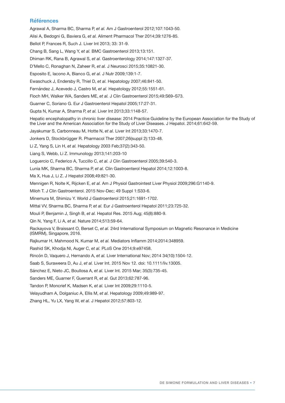#### **Références**

Agrawal A, Sharma BC, Sharma P, *et al.* Am J Gastroenterol 2012;107:1043-50.

Alisi A, Bedogni G, Baviera G, *et al.* Aliment Pharmacol Ther 2014;39:1276-85.

Bellot P, Frances R, Such J. Liver Int 2013; 33: 31-9.

Chang B, Sang L, Wang Y, *et al.* BMC Gastroenterol 2013;13:151.

Dhiman RK, Rana B, Agrawal S, *et al.* Gastroenterology 2014;147:1327-37.

D'Mello C, Ronaghan N, Zaheer R, *et al.* J Neurosci 2015;35:10821-30.

Esposito E, Iacono A, Bianco G, *et al.* J Nutr 2009;139:1-7.

Ewaschuck J, Endersby R, Thiel D, *et al.* Hepatology 2007;46:841-50.

Fernández J, Acevedo J, Castro M, *et al.* Hepatology 2012;55:1551-61.

Floch MH, Walker WA, Sanders ME, *et al.* J Clin Gastroenterol 2015;49:S69–S73.

Guarner C, Soriano G. Eur J Gastroenterol Hepatol 2005;17:27-31.

Gupta N, Kumar A, Sharma P, *et al.* Liver Int 2013;33:1148-57.

Hepatic encephalopathy in chronic liver disease: 2014 Practice Guideline by the European Association for the Study of the Liver and the American Association for the Study of Liver Diseases. J Hepatol. 2014;61:642-59.

Jayakumar S, Carbonneau M, Hotte N, *et al.* Liver Int 2013;33:1470-7.

Jonkers D, Stockbrügger R. Pharmacol Ther 2007;26(suppl 2):133-48.

Li Z, Yang S, Lin H, *et al.* Hepatology 2003 Feb;37(2):343-50.

Liang S, Webb, Li Z. Immunology 2013;141:203-10

Loguercio C, Federico A, Tuccillo C, *et al.* J Clin Gastroenterol 2005;39:540-3.

Lunia MK, Sharma BC, Sharma P, *et al.* Clin Gastroenterol Hepatol 2014;12:1003-8.

Ma X, Hua J, Li Z. J Hepatol 2008;49:821-30.

Mennigen R, Nolte K, Rijcken E, *et al.* Am J Physiol Gastrointest Liver Physiol 2009;296:G1140-9.

Miloh T. J Clin Gastroenterol. 2015 Nov-Dec; 49 Suppl 1:S33-6.

Minemura M, Shimizu Y. World J Gastroenterol 2015;21:1691-1702.

Mittal VV, Sharma BC, Sharma P, *et al.* Eur J Gastroenterol Hepatol 2011;23:725-32.

Mouli P, Benjamin J, Singh B, *et al.* Hepatol Res. 2015 Aug; 45(8):880-9.

Qin N, Yang F, Li A, *et al.* Nature 2014;513:59-64.

Rackayova V, Braissant O, Berset C, *et al.* 24rd International Symposium on Magnetic Resonance in Medicine (ISMRM), Singapore, 2016.

Rajkumar H, Mahmood N, Kumar M, *et al.* Mediators Inflamm 2014;2014:348959.

Rashid SK, Khodja NI, Auger C, *et al.* PLoS One 2014;9:e97458.

Rincón D, Vaquero J, Hernando A, *et al.* Liver International Nov; 2014 34(10):1504-12.

Saab S, Suraweera D, Au J, *et al.* Liver Int. 2015 Nov 12. doi: 10.1111/liv.13005.

Sánchez E, Nieto JC, Boullosa A, *et al.* Liver Int. 2015 Mar; 35(3):735-45.

Sanders ME, Guarner F, Guerrant R, *et al.* Gut 2013;62:787-96.

Tandon P, Moncrief K, Madsen K, *et al.* Liver Int 2009;29:1110-5.

Velayudham A, Dolganiuc A, Ellis M, *et al.* Hepatology 2009;49:989-97.

Zhang HL, Yu LX, Yang W, *et al.* J Hepatol 2012;57:803-12.